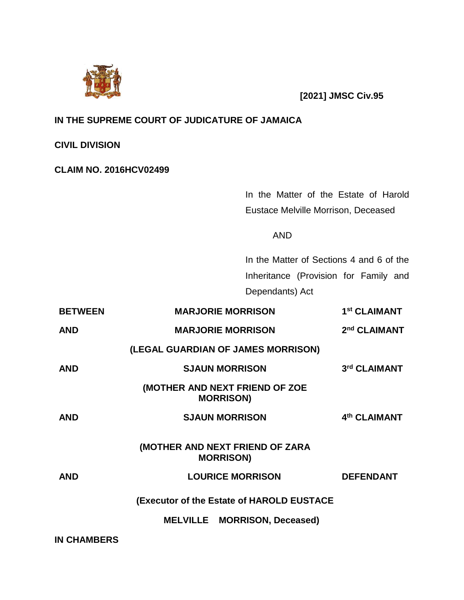

**[2021] JMSC Civ.95**

# **IN THE SUPREME COURT OF JUDICATURE OF JAMAICA**

**CIVIL DIVISION**

## **CLAIM NO. 2016HCV02499**

In the Matter of the Estate of Harold Eustace Melville Morrison, Deceased

AND

In the Matter of Sections 4 and 6 of the Inheritance (Provision for Family and Dependants) Act

| <b>BETWEEN</b> | <b>MARJORIE MORRISON</b>                            | 1 <sup>st</sup> CLAIMANT |
|----------------|-----------------------------------------------------|--------------------------|
| <b>AND</b>     | <b>MARJORIE MORRISON</b>                            | 2 <sup>nd</sup> CLAIMANT |
|                | (LEGAL GUARDIAN OF JAMES MORRISON)                  |                          |
| <b>AND</b>     | <b>SJAUN MORRISON</b>                               | 3rd CLAIMANT             |
|                | (MOTHER AND NEXT FRIEND OF ZOE<br><b>MORRISON)</b>  |                          |
| <b>AND</b>     | <b>SJAUN MORRISON</b>                               | 4th CLAIMANT             |
|                | (MOTHER AND NEXT FRIEND OF ZARA<br><b>MORRISON)</b> |                          |
| <b>AND</b>     | <b>LOURICE MORRISON</b>                             | <b>DEFENDANT</b>         |
|                | (Executor of the Estate of HAROLD EUSTACE           |                          |
|                | <b>MELVILLE MORRISON, Deceased)</b>                 |                          |
|                |                                                     |                          |

**IN CHAMBERS**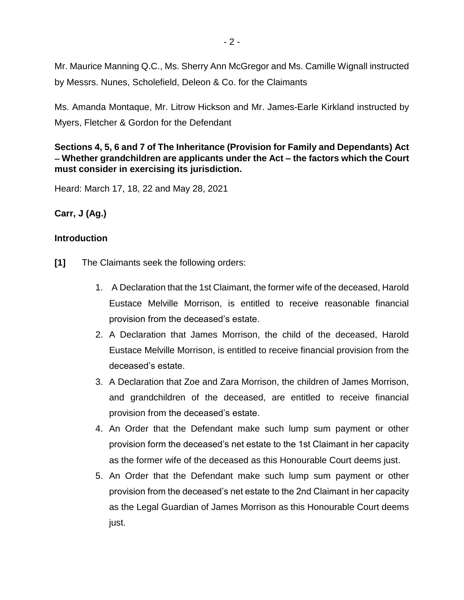Mr. Maurice Manning Q.C., Ms. Sherry Ann McGregor and Ms. Camille Wignall instructed by Messrs. Nunes, Scholefield, Deleon & Co. for the Claimants

Ms. Amanda Montaque, Mr. Litrow Hickson and Mr. James-Earle Kirkland instructed by Myers, Fletcher & Gordon for the Defendant

# **Sections 4, 5, 6 and 7 of The Inheritance (Provision for Family and Dependants) Act Whether grandchildren are applicants under the Act – the factors which the Court must consider in exercising its jurisdiction.**

Heard: March 17, 18, 22 and May 28, 2021

**Carr, J (Ag.)**

# **Introduction**

- **[1]** The Claimants seek the following orders:
	- 1. A Declaration that the 1st Claimant, the former wife of the deceased, Harold Eustace Melville Morrison, is entitled to receive reasonable financial provision from the deceased's estate.
	- 2. A Declaration that James Morrison, the child of the deceased, Harold Eustace Melville Morrison, is entitled to receive financial provision from the deceased's estate.
	- 3. A Declaration that Zoe and Zara Morrison, the children of James Morrison, and grandchildren of the deceased, are entitled to receive financial provision from the deceased's estate.
	- 4. An Order that the Defendant make such lump sum payment or other provision form the deceased's net estate to the 1st Claimant in her capacity as the former wife of the deceased as this Honourable Court deems just.
	- 5. An Order that the Defendant make such lump sum payment or other provision from the deceased's net estate to the 2nd Claimant in her capacity as the Legal Guardian of James Morrison as this Honourable Court deems just.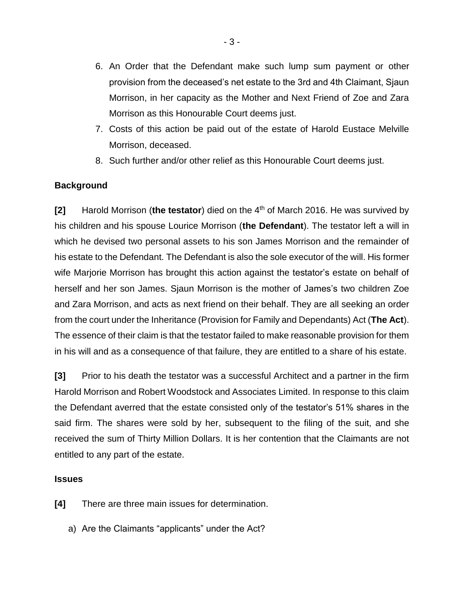- 6. An Order that the Defendant make such lump sum payment or other provision from the deceased's net estate to the 3rd and 4th Claimant, Sjaun Morrison, in her capacity as the Mother and Next Friend of Zoe and Zara Morrison as this Honourable Court deems just.
- 7. Costs of this action be paid out of the estate of Harold Eustace Melville Morrison, deceased.
- 8. Such further and/or other relief as this Honourable Court deems just.

# **Background**

**[2]** Harold Morrison (the testator) died on the 4<sup>th</sup> of March 2016. He was survived by his children and his spouse Lourice Morrison (**the Defendant**). The testator left a will in which he devised two personal assets to his son James Morrison and the remainder of his estate to the Defendant. The Defendant is also the sole executor of the will. His former wife Marjorie Morrison has brought this action against the testator's estate on behalf of herself and her son James. Sjaun Morrison is the mother of James's two children Zoe and Zara Morrison, and acts as next friend on their behalf. They are all seeking an order from the court under the Inheritance (Provision for Family and Dependants) Act (**The Act**). The essence of their claim is that the testator failed to make reasonable provision for them in his will and as a consequence of that failure, they are entitled to a share of his estate.

**[3]** Prior to his death the testator was a successful Architect and a partner in the firm Harold Morrison and Robert Woodstock and Associates Limited. In response to this claim the Defendant averred that the estate consisted only of the testator's 51% shares in the said firm. The shares were sold by her, subsequent to the filing of the suit, and she received the sum of Thirty Million Dollars. It is her contention that the Claimants are not entitled to any part of the estate.

#### **Issues**

- **[4]** There are three main issues for determination.
	- a) Are the Claimants "applicants" under the Act?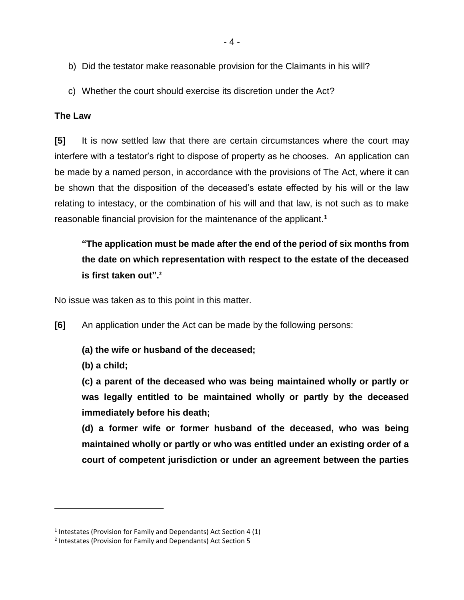- 4 -
- b) Did the testator make reasonable provision for the Claimants in his will?
- c) Whether the court should exercise its discretion under the Act?

#### **The Law**

**[5]** It is now settled law that there are certain circumstances where the court may interfere with a testator's right to dispose of property as he chooses. An application can be made by a named person, in accordance with the provisions of The Act, where it can be shown that the disposition of the deceased's estate effected by his will or the law relating to intestacy, or the combination of his will and that law, is not such as to make reasonable financial provision for the maintenance of the applicant.**<sup>1</sup>**

# **"The application must be made after the end of the period of six months from the date on which representation with respect to the estate of the deceased is first taken out". 2**

No issue was taken as to this point in this matter.

- **[6]** An application under the Act can be made by the following persons:
	- **(a) the wife or husband of the deceased;**
	- **(b) a child;**

 $\overline{a}$ 

**(c) a parent of the deceased who was being maintained wholly or partly or was legally entitled to be maintained wholly or partly by the deceased immediately before his death;** 

**(d) a former wife or former husband of the deceased, who was being maintained wholly or partly or who was entitled under an existing order of a court of competent jurisdiction or under an agreement between the parties** 

<sup>&</sup>lt;sup>1</sup> Intestates (Provision for Family and Dependants) Act Section 4 (1)

<sup>&</sup>lt;sup>2</sup> Intestates (Provision for Family and Dependants) Act Section 5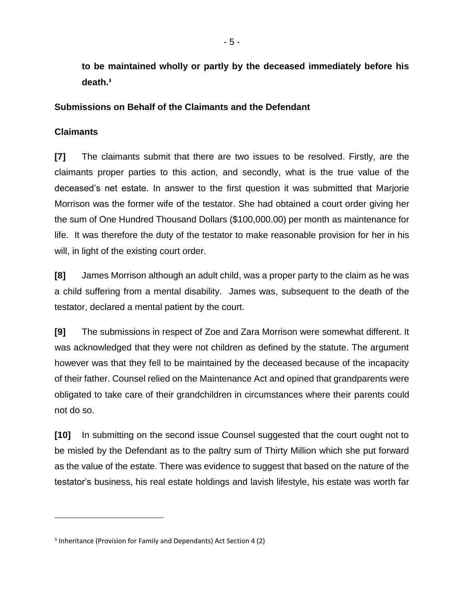**to be maintained wholly or partly by the deceased immediately before his death.<sup>3</sup>**

#### **Submissions on Behalf of the Claimants and the Defendant**

# **Claimants**

 $\overline{a}$ 

**[7]** The claimants submit that there are two issues to be resolved. Firstly, are the claimants proper parties to this action, and secondly, what is the true value of the deceased's net estate. In answer to the first question it was submitted that Marjorie Morrison was the former wife of the testator. She had obtained a court order giving her the sum of One Hundred Thousand Dollars (\$100,000.00) per month as maintenance for life. It was therefore the duty of the testator to make reasonable provision for her in his will, in light of the existing court order.

**[8]** James Morrison although an adult child, was a proper party to the claim as he was a child suffering from a mental disability. James was, subsequent to the death of the testator, declared a mental patient by the court.

**[9]** The submissions in respect of Zoe and Zara Morrison were somewhat different. It was acknowledged that they were not children as defined by the statute. The argument however was that they fell to be maintained by the deceased because of the incapacity of their father. Counsel relied on the Maintenance Act and opined that grandparents were obligated to take care of their grandchildren in circumstances where their parents could not do so.

**[10]** In submitting on the second issue Counsel suggested that the court ought not to be misled by the Defendant as to the paltry sum of Thirty Million which she put forward as the value of the estate. There was evidence to suggest that based on the nature of the testator's business, his real estate holdings and lavish lifestyle, his estate was worth far

<sup>&</sup>lt;sup>3</sup> Inheritance (Provision for Family and Dependants) Act Section 4 (2)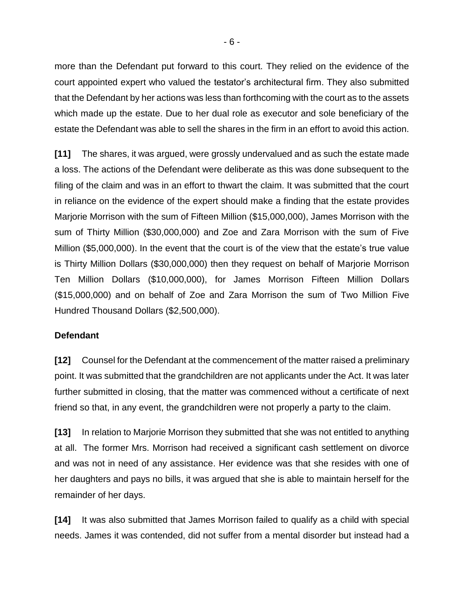more than the Defendant put forward to this court. They relied on the evidence of the court appointed expert who valued the testator's architectural firm. They also submitted that the Defendant by her actions was less than forthcoming with the court as to the assets which made up the estate. Due to her dual role as executor and sole beneficiary of the estate the Defendant was able to sell the shares in the firm in an effort to avoid this action.

**[11]** The shares, it was argued, were grossly undervalued and as such the estate made a loss. The actions of the Defendant were deliberate as this was done subsequent to the filing of the claim and was in an effort to thwart the claim. It was submitted that the court in reliance on the evidence of the expert should make a finding that the estate provides Marjorie Morrison with the sum of Fifteen Million (\$15,000,000), James Morrison with the sum of Thirty Million (\$30,000,000) and Zoe and Zara Morrison with the sum of Five Million (\$5,000,000). In the event that the court is of the view that the estate's true value is Thirty Million Dollars (\$30,000,000) then they request on behalf of Marjorie Morrison Ten Million Dollars (\$10,000,000), for James Morrison Fifteen Million Dollars (\$15,000,000) and on behalf of Zoe and Zara Morrison the sum of Two Million Five Hundred Thousand Dollars (\$2,500,000).

#### **Defendant**

**[12]** Counsel for the Defendant at the commencement of the matter raised a preliminary point. It was submitted that the grandchildren are not applicants under the Act. It was later further submitted in closing, that the matter was commenced without a certificate of next friend so that, in any event, the grandchildren were not properly a party to the claim.

**[13]** In relation to Marjorie Morrison they submitted that she was not entitled to anything at all. The former Mrs. Morrison had received a significant cash settlement on divorce and was not in need of any assistance. Her evidence was that she resides with one of her daughters and pays no bills, it was argued that she is able to maintain herself for the remainder of her days.

**[14]** It was also submitted that James Morrison failed to qualify as a child with special needs. James it was contended, did not suffer from a mental disorder but instead had a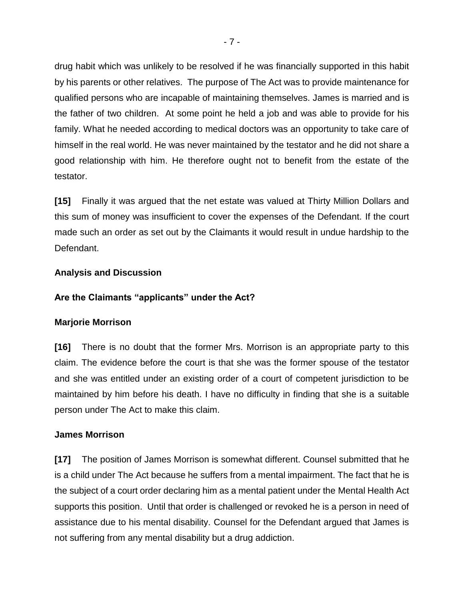drug habit which was unlikely to be resolved if he was financially supported in this habit by his parents or other relatives. The purpose of The Act was to provide maintenance for qualified persons who are incapable of maintaining themselves. James is married and is the father of two children. At some point he held a job and was able to provide for his family. What he needed according to medical doctors was an opportunity to take care of himself in the real world. He was never maintained by the testator and he did not share a good relationship with him. He therefore ought not to benefit from the estate of the testator.

**[15]** Finally it was argued that the net estate was valued at Thirty Million Dollars and this sum of money was insufficient to cover the expenses of the Defendant. If the court made such an order as set out by the Claimants it would result in undue hardship to the Defendant.

#### **Analysis and Discussion**

## **Are the Claimants "applicants" under the Act?**

#### **Marjorie Morrison**

**[16]** There is no doubt that the former Mrs. Morrison is an appropriate party to this claim. The evidence before the court is that she was the former spouse of the testator and she was entitled under an existing order of a court of competent jurisdiction to be maintained by him before his death. I have no difficulty in finding that she is a suitable person under The Act to make this claim.

#### **James Morrison**

**[17]** The position of James Morrison is somewhat different. Counsel submitted that he is a child under The Act because he suffers from a mental impairment. The fact that he is the subject of a court order declaring him as a mental patient under the Mental Health Act supports this position. Until that order is challenged or revoked he is a person in need of assistance due to his mental disability. Counsel for the Defendant argued that James is not suffering from any mental disability but a drug addiction.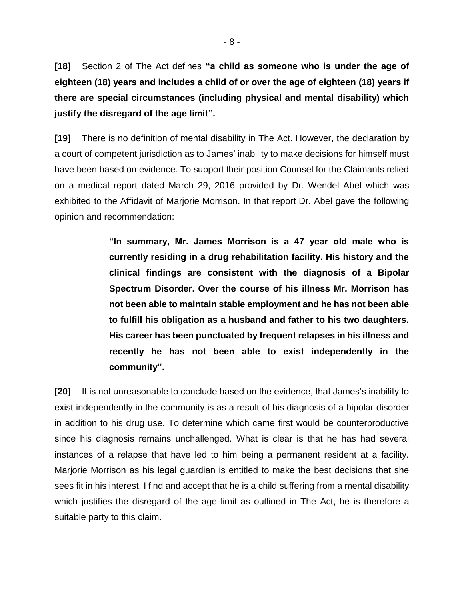**[18]** Section 2 of The Act defines **"a child as someone who is under the age of eighteen (18) years and includes a child of or over the age of eighteen (18) years if there are special circumstances (including physical and mental disability) which justify the disregard of the age limit".** 

**[19]** There is no definition of mental disability in The Act. However, the declaration by a court of competent jurisdiction as to James' inability to make decisions for himself must have been based on evidence. To support their position Counsel for the Claimants relied on a medical report dated March 29, 2016 provided by Dr. Wendel Abel which was exhibited to the Affidavit of Marjorie Morrison. In that report Dr. Abel gave the following opinion and recommendation:

> **"In summary, Mr. James Morrison is a 47 year old male who is currently residing in a drug rehabilitation facility. His history and the clinical findings are consistent with the diagnosis of a Bipolar Spectrum Disorder. Over the course of his illness Mr. Morrison has not been able to maintain stable employment and he has not been able to fulfill his obligation as a husband and father to his two daughters. His career has been punctuated by frequent relapses in his illness and recently he has not been able to exist independently in the community".**

**[20]** It is not unreasonable to conclude based on the evidence, that James's inability to exist independently in the community is as a result of his diagnosis of a bipolar disorder in addition to his drug use. To determine which came first would be counterproductive since his diagnosis remains unchallenged. What is clear is that he has had several instances of a relapse that have led to him being a permanent resident at a facility. Marjorie Morrison as his legal guardian is entitled to make the best decisions that she sees fit in his interest. I find and accept that he is a child suffering from a mental disability which justifies the disregard of the age limit as outlined in The Act, he is therefore a suitable party to this claim.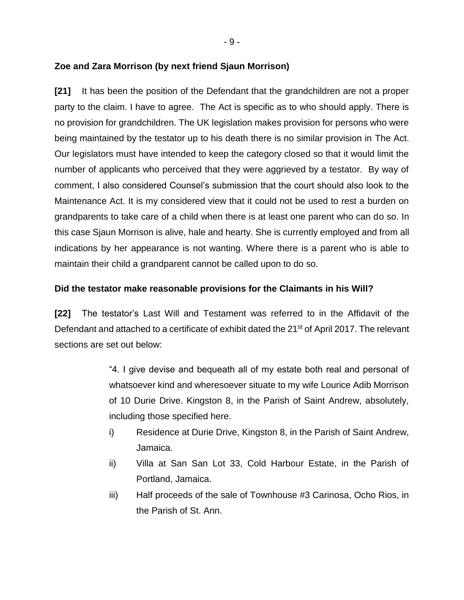- 9 -

# **Zoe and Zara Morrison (by next friend Sjaun Morrison)**

**[21]** It has been the position of the Defendant that the grandchildren are not a proper party to the claim. I have to agree. The Act is specific as to who should apply. There is no provision for grandchildren. The UK legislation makes provision for persons who were being maintained by the testator up to his death there is no similar provision in The Act. Our legislators must have intended to keep the category closed so that it would limit the number of applicants who perceived that they were aggrieved by a testator. By way of comment, I also considered Counsel's submission that the court should also look to the Maintenance Act. It is my considered view that it could not be used to rest a burden on grandparents to take care of a child when there is at least one parent who can do so. In this case Sjaun Morrison is alive, hale and hearty. She is currently employed and from all indications by her appearance is not wanting. Where there is a parent who is able to maintain their child a grandparent cannot be called upon to do so.

# **Did the testator make reasonable provisions for the Claimants in his Will?**

**[22]** The testator's Last Will and Testament was referred to in the Affidavit of the Defendant and attached to a certificate of exhibit dated the 21<sup>st</sup> of April 2017. The relevant sections are set out below:

> "4. I give devise and bequeath all of my estate both real and personal of whatsoever kind and wheresoever situate to my wife Lourice Adib Morrison of 10 Durie Drive. Kingston 8, in the Parish of Saint Andrew, absolutely, including those specified here.

- i) Residence at Durie Drive, Kingston 8, in the Parish of Saint Andrew, Jamaica.
- ii) Villa at San San Lot 33, Cold Harbour Estate, in the Parish of Portland, Jamaica.
- iii) Half proceeds of the sale of Townhouse #3 Carinosa, Ocho Rios, in the Parish of St. Ann.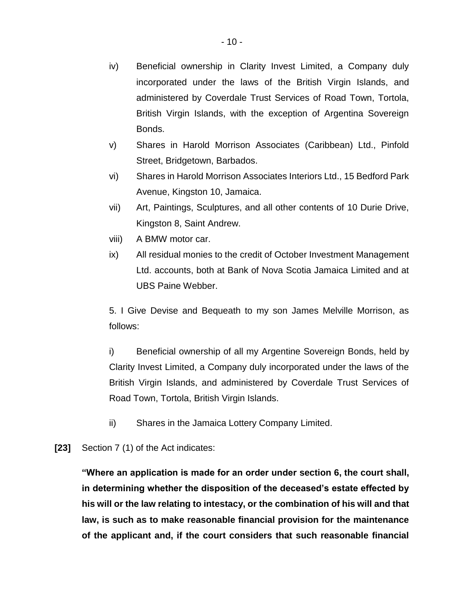- iv) Beneficial ownership in Clarity Invest Limited, a Company duly incorporated under the laws of the British Virgin Islands, and administered by Coverdale Trust Services of Road Town, Tortola, British Virgin Islands, with the exception of Argentina Sovereign Bonds.
- v) Shares in Harold Morrison Associates (Caribbean) Ltd., Pinfold Street, Bridgetown, Barbados.
- vi) Shares in Harold Morrison Associates Interiors Ltd., 15 Bedford Park Avenue, Kingston 10, Jamaica.
- vii) Art, Paintings, Sculptures, and all other contents of 10 Durie Drive, Kingston 8, Saint Andrew.
- viii) A BMW motor car.
- ix) All residual monies to the credit of October Investment Management Ltd. accounts, both at Bank of Nova Scotia Jamaica Limited and at UBS Paine Webber.

5. I Give Devise and Bequeath to my son James Melville Morrison, as follows:

i) Beneficial ownership of all my Argentine Sovereign Bonds, held by Clarity Invest Limited, a Company duly incorporated under the laws of the British Virgin Islands, and administered by Coverdale Trust Services of Road Town, Tortola, British Virgin Islands.

- ii) Shares in the Jamaica Lottery Company Limited.
- **[23]** Section 7 (1) of the Act indicates:

**"Where an application is made for an order under section 6, the court shall, in determining whether the disposition of the deceased's estate effected by his will or the law relating to intestacy, or the combination of his will and that law, is such as to make reasonable financial provision for the maintenance of the applicant and, if the court considers that such reasonable financial**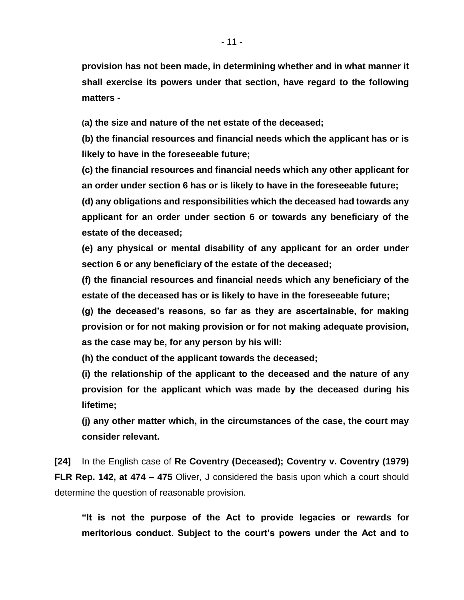**provision has not been made, in determining whether and in what manner it shall exercise its powers under that section, have regard to the following matters -**

**(a) the size and nature of the net estate of the deceased;**

**(b) the financial resources and financial needs which the applicant has or is likely to have in the foreseeable future;**

**(c) the financial resources and financial needs which any other applicant for an order under section 6 has or is likely to have in the foreseeable future;**

**(d) any obligations and responsibilities which the deceased had towards any applicant for an order under section 6 or towards any beneficiary of the estate of the deceased;**

**(e) any physical or mental disability of any applicant for an order under section 6 or any beneficiary of the estate of the deceased;**

**(f) the financial resources and financial needs which any beneficiary of the estate of the deceased has or is likely to have in the foreseeable future;**

**(g) the deceased's reasons, so far as they are ascertainable, for making provision or for not making provision or for not making adequate provision, as the case may be, for any person by his will:** 

**(h) the conduct of the applicant towards the deceased;**

**(i) the relationship of the applicant to the deceased and the nature of any provision for the applicant which was made by the deceased during his lifetime;**

**(j) any other matter which, in the circumstances of the case, the court may consider relevant.**

**[24]** In the English case of **Re Coventry (Deceased); Coventry v. Coventry (1979) FLR Rep. 142, at 474 – 475** Oliver, J considered the basis upon which a court should determine the question of reasonable provision.

**"It is not the purpose of the Act to provide legacies or rewards for meritorious conduct. Subject to the court's powers under the Act and to**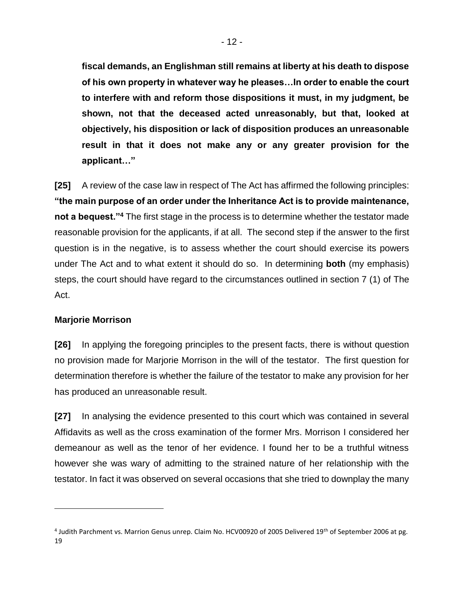**fiscal demands, an Englishman still remains at liberty at his death to dispose of his own property in whatever way he pleases…In order to enable the court to interfere with and reform those dispositions it must, in my judgment, be shown, not that the deceased acted unreasonably, but that, looked at objectively, his disposition or lack of disposition produces an unreasonable result in that it does not make any or any greater provision for the applicant…"** 

**[25]** A review of the case law in respect of The Act has affirmed the following principles: **"the main purpose of an order under the Inheritance Act is to provide maintenance, not a bequest."<sup>4</sup>** The first stage in the process is to determine whether the testator made reasonable provision for the applicants, if at all. The second step if the answer to the first question is in the negative, is to assess whether the court should exercise its powers under The Act and to what extent it should do so. In determining **both** (my emphasis) steps, the court should have regard to the circumstances outlined in section 7 (1) of The Act.

#### **Marjorie Morrison**

 $\overline{a}$ 

**[26]** In applying the foregoing principles to the present facts, there is without question no provision made for Marjorie Morrison in the will of the testator. The first question for determination therefore is whether the failure of the testator to make any provision for her has produced an unreasonable result.

**[27]** In analysing the evidence presented to this court which was contained in several Affidavits as well as the cross examination of the former Mrs. Morrison I considered her demeanour as well as the tenor of her evidence. I found her to be a truthful witness however she was wary of admitting to the strained nature of her relationship with the testator. In fact it was observed on several occasions that she tried to downplay the many

<sup>&</sup>lt;sup>4</sup> Judith Parchment vs. Marrion Genus unrep. Claim No. HCV00920 of 2005 Delivered 19<sup>th</sup> of September 2006 at pg. 19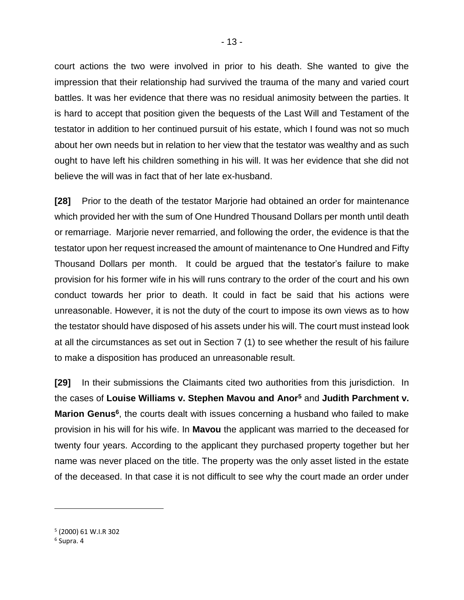court actions the two were involved in prior to his death. She wanted to give the impression that their relationship had survived the trauma of the many and varied court battles. It was her evidence that there was no residual animosity between the parties. It is hard to accept that position given the bequests of the Last Will and Testament of the testator in addition to her continued pursuit of his estate, which I found was not so much about her own needs but in relation to her view that the testator was wealthy and as such ought to have left his children something in his will. It was her evidence that she did not believe the will was in fact that of her late ex-husband.

**[28]** Prior to the death of the testator Marjorie had obtained an order for maintenance which provided her with the sum of One Hundred Thousand Dollars per month until death or remarriage. Marjorie never remarried, and following the order, the evidence is that the testator upon her request increased the amount of maintenance to One Hundred and Fifty Thousand Dollars per month. It could be argued that the testator's failure to make provision for his former wife in his will runs contrary to the order of the court and his own conduct towards her prior to death. It could in fact be said that his actions were unreasonable. However, it is not the duty of the court to impose its own views as to how the testator should have disposed of his assets under his will. The court must instead look at all the circumstances as set out in Section 7 (1) to see whether the result of his failure to make a disposition has produced an unreasonable result.

**[29]** In their submissions the Claimants cited two authorities from this jurisdiction. In the cases of **Louise Williams v. Stephen Mavou and Anor<sup>5</sup>** and **Judith Parchment v.**  Marion Genus<sup>6</sup>, the courts dealt with issues concerning a husband who failed to make provision in his will for his wife. In **Mavou** the applicant was married to the deceased for twenty four years. According to the applicant they purchased property together but her name was never placed on the title. The property was the only asset listed in the estate of the deceased. In that case it is not difficult to see why the court made an order under

 $\overline{a}$ 

<sup>5</sup> (2000) 61 W.I.R 302

<sup>6</sup> Supra. 4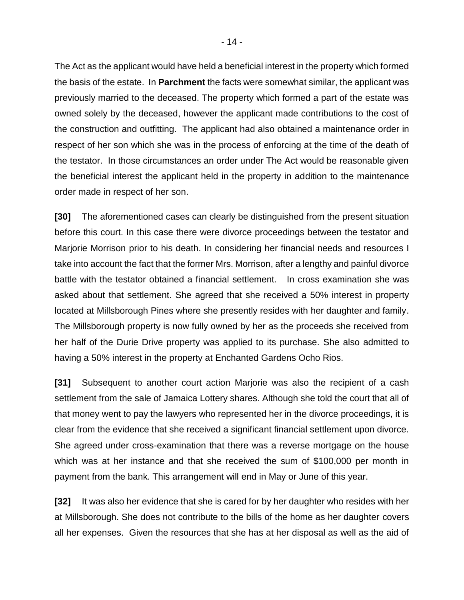The Act as the applicant would have held a beneficial interest in the property which formed the basis of the estate. In **Parchment** the facts were somewhat similar, the applicant was previously married to the deceased. The property which formed a part of the estate was owned solely by the deceased, however the applicant made contributions to the cost of the construction and outfitting. The applicant had also obtained a maintenance order in respect of her son which she was in the process of enforcing at the time of the death of the testator. In those circumstances an order under The Act would be reasonable given the beneficial interest the applicant held in the property in addition to the maintenance order made in respect of her son.

**[30]** The aforementioned cases can clearly be distinguished from the present situation before this court. In this case there were divorce proceedings between the testator and Marjorie Morrison prior to his death. In considering her financial needs and resources I take into account the fact that the former Mrs. Morrison, after a lengthy and painful divorce battle with the testator obtained a financial settlement. In cross examination she was asked about that settlement. She agreed that she received a 50% interest in property located at Millsborough Pines where she presently resides with her daughter and family. The Millsborough property is now fully owned by her as the proceeds she received from her half of the Durie Drive property was applied to its purchase. She also admitted to having a 50% interest in the property at Enchanted Gardens Ocho Rios.

**[31]** Subsequent to another court action Marjorie was also the recipient of a cash settlement from the sale of Jamaica Lottery shares. Although she told the court that all of that money went to pay the lawyers who represented her in the divorce proceedings, it is clear from the evidence that she received a significant financial settlement upon divorce. She agreed under cross-examination that there was a reverse mortgage on the house which was at her instance and that she received the sum of \$100,000 per month in payment from the bank. This arrangement will end in May or June of this year.

**[32]** It was also her evidence that she is cared for by her daughter who resides with her at Millsborough. She does not contribute to the bills of the home as her daughter covers all her expenses. Given the resources that she has at her disposal as well as the aid of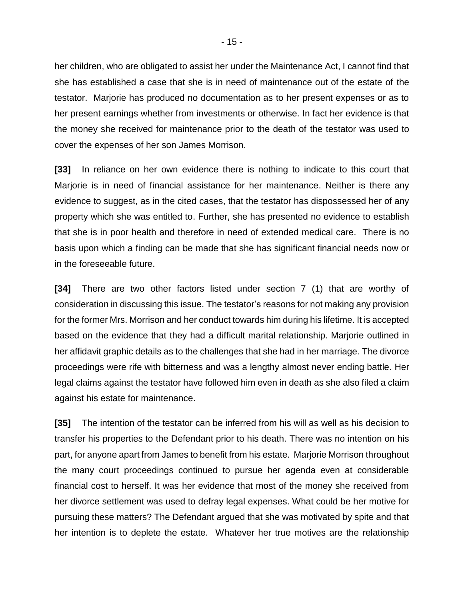her children, who are obligated to assist her under the Maintenance Act, I cannot find that she has established a case that she is in need of maintenance out of the estate of the testator. Marjorie has produced no documentation as to her present expenses or as to her present earnings whether from investments or otherwise. In fact her evidence is that the money she received for maintenance prior to the death of the testator was used to cover the expenses of her son James Morrison.

**[33]** In reliance on her own evidence there is nothing to indicate to this court that Marjorie is in need of financial assistance for her maintenance. Neither is there any evidence to suggest, as in the cited cases, that the testator has dispossessed her of any property which she was entitled to. Further, she has presented no evidence to establish that she is in poor health and therefore in need of extended medical care. There is no basis upon which a finding can be made that she has significant financial needs now or in the foreseeable future.

**[34]** There are two other factors listed under section 7 (1) that are worthy of consideration in discussing this issue. The testator's reasons for not making any provision for the former Mrs. Morrison and her conduct towards him during his lifetime. It is accepted based on the evidence that they had a difficult marital relationship. Marjorie outlined in her affidavit graphic details as to the challenges that she had in her marriage. The divorce proceedings were rife with bitterness and was a lengthy almost never ending battle. Her legal claims against the testator have followed him even in death as she also filed a claim against his estate for maintenance.

**[35]** The intention of the testator can be inferred from his will as well as his decision to transfer his properties to the Defendant prior to his death. There was no intention on his part, for anyone apart from James to benefit from his estate. Marjorie Morrison throughout the many court proceedings continued to pursue her agenda even at considerable financial cost to herself. It was her evidence that most of the money she received from her divorce settlement was used to defray legal expenses. What could be her motive for pursuing these matters? The Defendant argued that she was motivated by spite and that her intention is to deplete the estate. Whatever her true motives are the relationship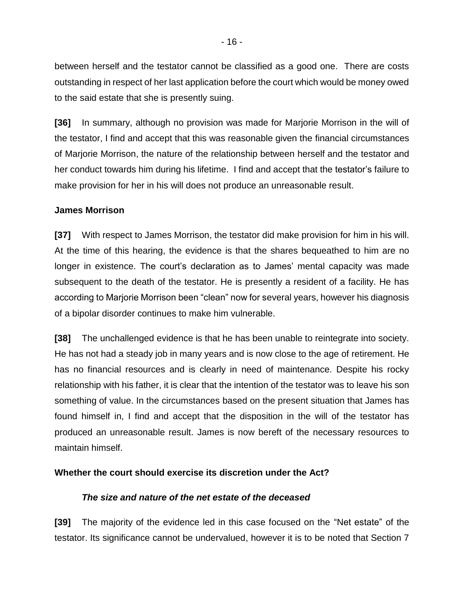between herself and the testator cannot be classified as a good one. There are costs outstanding in respect of her last application before the court which would be money owed to the said estate that she is presently suing.

**[36]** In summary, although no provision was made for Marjorie Morrison in the will of the testator, I find and accept that this was reasonable given the financial circumstances of Marjorie Morrison, the nature of the relationship between herself and the testator and her conduct towards him during his lifetime. I find and accept that the testator's failure to make provision for her in his will does not produce an unreasonable result.

#### **James Morrison**

**[37]** With respect to James Morrison, the testator did make provision for him in his will. At the time of this hearing, the evidence is that the shares bequeathed to him are no longer in existence. The court's declaration as to James' mental capacity was made subsequent to the death of the testator. He is presently a resident of a facility. He has according to Marjorie Morrison been "clean" now for several years, however his diagnosis of a bipolar disorder continues to make him vulnerable.

**[38]** The unchallenged evidence is that he has been unable to reintegrate into society. He has not had a steady job in many years and is now close to the age of retirement. He has no financial resources and is clearly in need of maintenance. Despite his rocky relationship with his father, it is clear that the intention of the testator was to leave his son something of value. In the circumstances based on the present situation that James has found himself in, I find and accept that the disposition in the will of the testator has produced an unreasonable result. James is now bereft of the necessary resources to maintain himself.

#### **Whether the court should exercise its discretion under the Act?**

#### *The size and nature of the net estate of the deceased*

**[39]** The majority of the evidence led in this case focused on the "Net estate" of the testator. Its significance cannot be undervalued, however it is to be noted that Section 7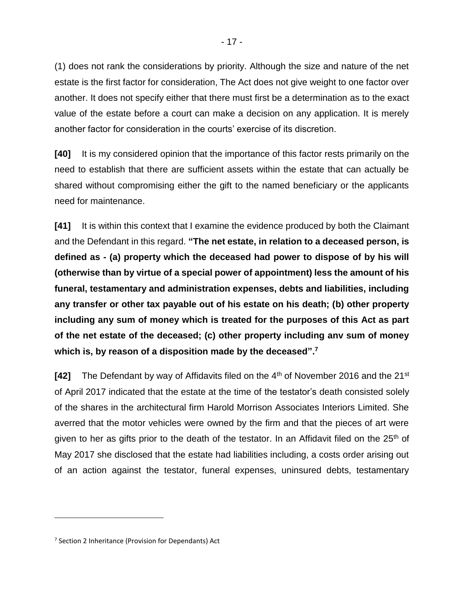(1) does not rank the considerations by priority. Although the size and nature of the net estate is the first factor for consideration, The Act does not give weight to one factor over another. It does not specify either that there must first be a determination as to the exact value of the estate before a court can make a decision on any application. It is merely another factor for consideration in the courts' exercise of its discretion.

**[40]** It is my considered opinion that the importance of this factor rests primarily on the need to establish that there are sufficient assets within the estate that can actually be shared without compromising either the gift to the named beneficiary or the applicants need for maintenance.

**[41]** It is within this context that I examine the evidence produced by both the Claimant and the Defendant in this regard. **"The net estate, in relation to a deceased person, is defined as - (a) property which the deceased had power to dispose of by his will (otherwise than by virtue of a special power of appointment) less the amount of his funeral, testamentary and administration expenses, debts and liabilities, including any transfer or other tax payable out of his estate on his death; (b) other property including any sum of money which is treated for the purposes of this Act as part of the net estate of the deceased; (c) other property including anv sum of money which is, by reason of a disposition made by the deceased". 7**

**[42]** The Defendant by way of Affidavits filed on the 4<sup>th</sup> of November 2016 and the 21<sup>st</sup> of April 2017 indicated that the estate at the time of the testator's death consisted solely of the shares in the architectural firm Harold Morrison Associates Interiors Limited. She averred that the motor vehicles were owned by the firm and that the pieces of art were given to her as gifts prior to the death of the testator. In an Affidavit filed on the 25<sup>th</sup> of May 2017 she disclosed that the estate had liabilities including, a costs order arising out of an action against the testator, funeral expenses, uninsured debts, testamentary

 $\overline{a}$ 

<sup>&</sup>lt;sup>7</sup> Section 2 Inheritance (Provision for Dependants) Act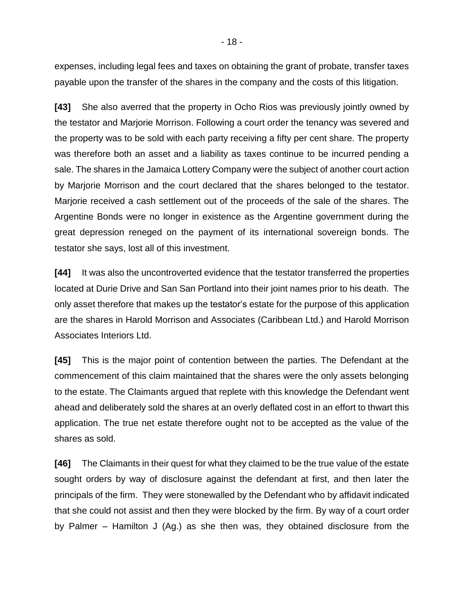expenses, including legal fees and taxes on obtaining the grant of probate, transfer taxes payable upon the transfer of the shares in the company and the costs of this litigation.

**[43]** She also averred that the property in Ocho Rios was previously jointly owned by the testator and Marjorie Morrison. Following a court order the tenancy was severed and the property was to be sold with each party receiving a fifty per cent share. The property was therefore both an asset and a liability as taxes continue to be incurred pending a sale. The shares in the Jamaica Lottery Company were the subject of another court action by Marjorie Morrison and the court declared that the shares belonged to the testator. Marjorie received a cash settlement out of the proceeds of the sale of the shares. The Argentine Bonds were no longer in existence as the Argentine government during the great depression reneged on the payment of its international sovereign bonds. The testator she says, lost all of this investment.

**[44]** It was also the uncontroverted evidence that the testator transferred the properties located at Durie Drive and San San Portland into their joint names prior to his death. The only asset therefore that makes up the testator's estate for the purpose of this application are the shares in Harold Morrison and Associates (Caribbean Ltd.) and Harold Morrison Associates Interiors Ltd.

**[45]** This is the major point of contention between the parties. The Defendant at the commencement of this claim maintained that the shares were the only assets belonging to the estate. The Claimants argued that replete with this knowledge the Defendant went ahead and deliberately sold the shares at an overly deflated cost in an effort to thwart this application. The true net estate therefore ought not to be accepted as the value of the shares as sold.

**[46]** The Claimants in their quest for what they claimed to be the true value of the estate sought orders by way of disclosure against the defendant at first, and then later the principals of the firm. They were stonewalled by the Defendant who by affidavit indicated that she could not assist and then they were blocked by the firm. By way of a court order by Palmer – Hamilton J (Ag.) as she then was, they obtained disclosure from the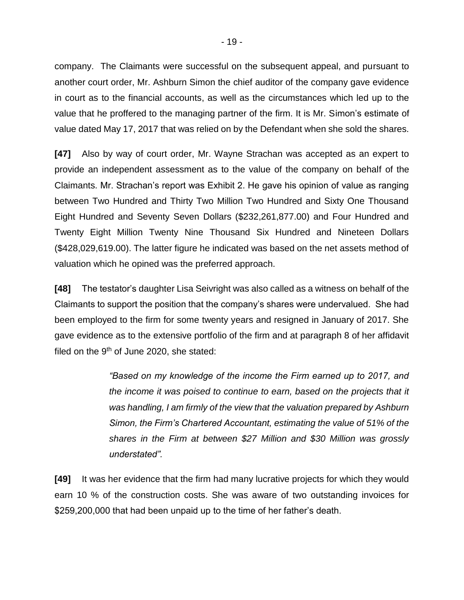company. The Claimants were successful on the subsequent appeal, and pursuant to another court order, Mr. Ashburn Simon the chief auditor of the company gave evidence in court as to the financial accounts, as well as the circumstances which led up to the value that he proffered to the managing partner of the firm. It is Mr. Simon's estimate of value dated May 17, 2017 that was relied on by the Defendant when she sold the shares.

**[47]** Also by way of court order, Mr. Wayne Strachan was accepted as an expert to provide an independent assessment as to the value of the company on behalf of the Claimants. Mr. Strachan's report was Exhibit 2. He gave his opinion of value as ranging between Two Hundred and Thirty Two Million Two Hundred and Sixty One Thousand Eight Hundred and Seventy Seven Dollars (\$232,261,877.00) and Four Hundred and Twenty Eight Million Twenty Nine Thousand Six Hundred and Nineteen Dollars (\$428,029,619.00). The latter figure he indicated was based on the net assets method of valuation which he opined was the preferred approach.

**[48]** The testator's daughter Lisa Seivright was also called as a witness on behalf of the Claimants to support the position that the company's shares were undervalued. She had been employed to the firm for some twenty years and resigned in January of 2017. She gave evidence as to the extensive portfolio of the firm and at paragraph 8 of her affidavit filed on the  $9<sup>th</sup>$  of June 2020, she stated:

> *"Based on my knowledge of the income the Firm earned up to 2017, and the income it was poised to continue to earn, based on the projects that it was handling, I am firmly of the view that the valuation prepared by Ashburn Simon, the Firm's Chartered Accountant, estimating the value of 51% of the shares in the Firm at between \$27 Million and \$30 Million was grossly understated".*

**[49]** It was her evidence that the firm had many lucrative projects for which they would earn 10 % of the construction costs. She was aware of two outstanding invoices for \$259,200,000 that had been unpaid up to the time of her father's death.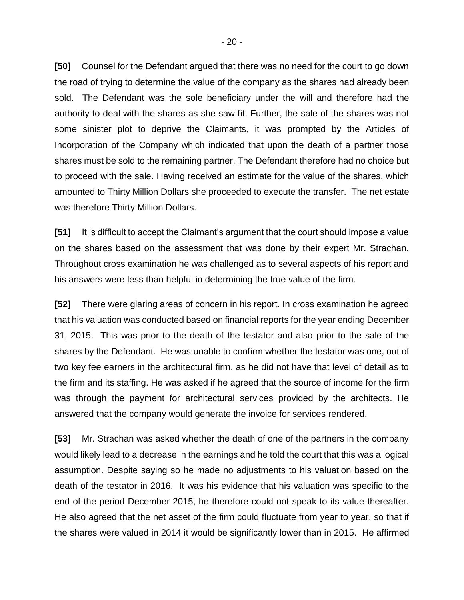**[50]** Counsel for the Defendant argued that there was no need for the court to go down the road of trying to determine the value of the company as the shares had already been sold. The Defendant was the sole beneficiary under the will and therefore had the authority to deal with the shares as she saw fit. Further, the sale of the shares was not some sinister plot to deprive the Claimants, it was prompted by the Articles of Incorporation of the Company which indicated that upon the death of a partner those shares must be sold to the remaining partner. The Defendant therefore had no choice but to proceed with the sale. Having received an estimate for the value of the shares, which amounted to Thirty Million Dollars she proceeded to execute the transfer. The net estate was therefore Thirty Million Dollars.

**[51]** It is difficult to accept the Claimant's argument that the court should impose a value on the shares based on the assessment that was done by their expert Mr. Strachan. Throughout cross examination he was challenged as to several aspects of his report and his answers were less than helpful in determining the true value of the firm.

**[52]** There were glaring areas of concern in his report. In cross examination he agreed that his valuation was conducted based on financial reports for the year ending December 31, 2015. This was prior to the death of the testator and also prior to the sale of the shares by the Defendant. He was unable to confirm whether the testator was one, out of two key fee earners in the architectural firm, as he did not have that level of detail as to the firm and its staffing. He was asked if he agreed that the source of income for the firm was through the payment for architectural services provided by the architects. He answered that the company would generate the invoice for services rendered.

**[53]** Mr. Strachan was asked whether the death of one of the partners in the company would likely lead to a decrease in the earnings and he told the court that this was a logical assumption. Despite saying so he made no adjustments to his valuation based on the death of the testator in 2016. It was his evidence that his valuation was specific to the end of the period December 2015, he therefore could not speak to its value thereafter. He also agreed that the net asset of the firm could fluctuate from year to year, so that if the shares were valued in 2014 it would be significantly lower than in 2015. He affirmed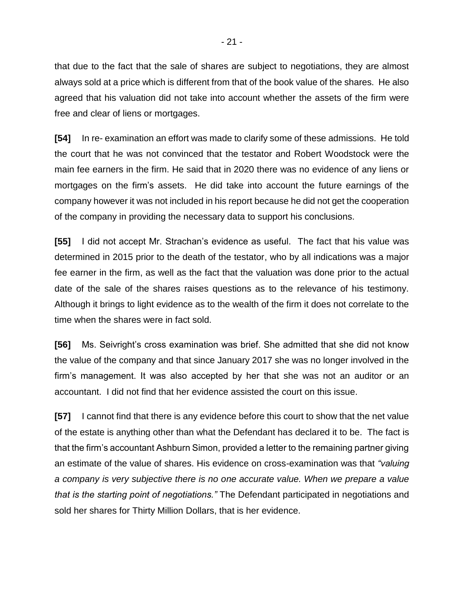that due to the fact that the sale of shares are subject to negotiations, they are almost always sold at a price which is different from that of the book value of the shares. He also agreed that his valuation did not take into account whether the assets of the firm were free and clear of liens or mortgages.

**[54]** In re- examination an effort was made to clarify some of these admissions. He told the court that he was not convinced that the testator and Robert Woodstock were the main fee earners in the firm. He said that in 2020 there was no evidence of any liens or mortgages on the firm's assets. He did take into account the future earnings of the company however it was not included in his report because he did not get the cooperation of the company in providing the necessary data to support his conclusions.

**[55]** I did not accept Mr. Strachan's evidence as useful. The fact that his value was determined in 2015 prior to the death of the testator, who by all indications was a major fee earner in the firm, as well as the fact that the valuation was done prior to the actual date of the sale of the shares raises questions as to the relevance of his testimony. Although it brings to light evidence as to the wealth of the firm it does not correlate to the time when the shares were in fact sold.

**[56]** Ms. Seivright's cross examination was brief. She admitted that she did not know the value of the company and that since January 2017 she was no longer involved in the firm's management. It was also accepted by her that she was not an auditor or an accountant. I did not find that her evidence assisted the court on this issue.

**[57]** I cannot find that there is any evidence before this court to show that the net value of the estate is anything other than what the Defendant has declared it to be. The fact is that the firm's accountant Ashburn Simon, provided a letter to the remaining partner giving an estimate of the value of shares. His evidence on cross-examination was that *"valuing a company is very subjective there is no one accurate value. When we prepare a value that is the starting point of negotiations."* The Defendant participated in negotiations and sold her shares for Thirty Million Dollars, that is her evidence.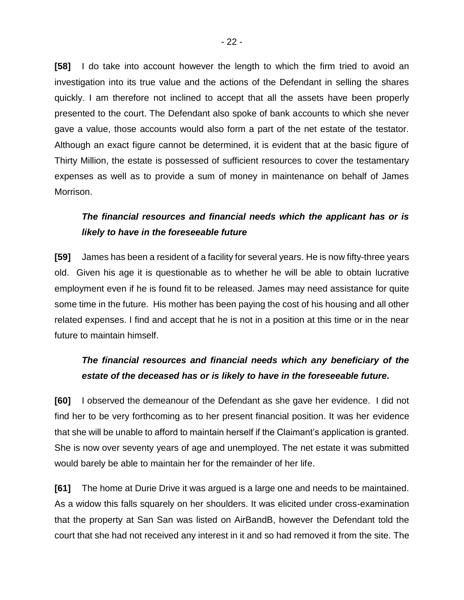**[58]** I do take into account however the length to which the firm tried to avoid an investigation into its true value and the actions of the Defendant in selling the shares quickly. I am therefore not inclined to accept that all the assets have been properly presented to the court. The Defendant also spoke of bank accounts to which she never gave a value, those accounts would also form a part of the net estate of the testator. Although an exact figure cannot be determined, it is evident that at the basic figure of Thirty Million, the estate is possessed of sufficient resources to cover the testamentary expenses as well as to provide a sum of money in maintenance on behalf of James Morrison.

# *The financial resources and financial needs which the applicant has or is likely to have in the foreseeable future*

**[59]** James has been a resident of a facility for several years. He is now fifty-three years old. Given his age it is questionable as to whether he will be able to obtain lucrative employment even if he is found fit to be released. James may need assistance for quite some time in the future. His mother has been paying the cost of his housing and all other related expenses. I find and accept that he is not in a position at this time or in the near future to maintain himself.

# *The financial resources and financial needs which any beneficiary of the estate of the deceased has or is likely to have in the foreseeable future.*

**[60]** I observed the demeanour of the Defendant as she gave her evidence. I did not find her to be very forthcoming as to her present financial position. It was her evidence that she will be unable to afford to maintain herself if the Claimant's application is granted. She is now over seventy years of age and unemployed. The net estate it was submitted would barely be able to maintain her for the remainder of her life.

**[61]** The home at Durie Drive it was argued is a large one and needs to be maintained. As a widow this falls squarely on her shoulders. It was elicited under cross-examination that the property at San San was listed on AirBandB, however the Defendant told the court that she had not received any interest in it and so had removed it from the site. The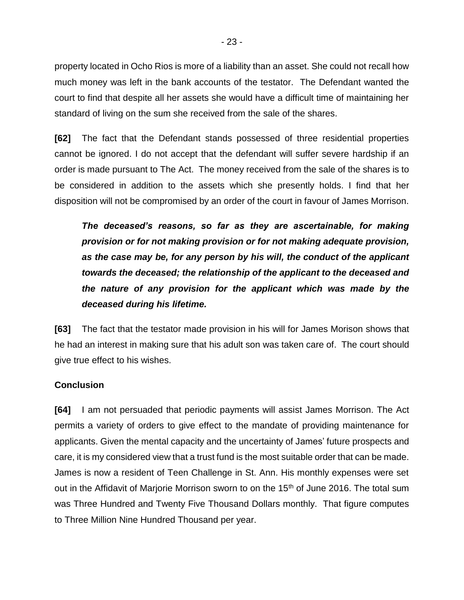property located in Ocho Rios is more of a liability than an asset. She could not recall how much money was left in the bank accounts of the testator. The Defendant wanted the court to find that despite all her assets she would have a difficult time of maintaining her standard of living on the sum she received from the sale of the shares.

**[62]** The fact that the Defendant stands possessed of three residential properties cannot be ignored. I do not accept that the defendant will suffer severe hardship if an order is made pursuant to The Act. The money received from the sale of the shares is to be considered in addition to the assets which she presently holds. I find that her disposition will not be compromised by an order of the court in favour of James Morrison.

*The deceased's reasons, so far as they are ascertainable, for making provision or for not making provision or for not making adequate provision, as the case may be, for any person by his will, the conduct of the applicant towards the deceased; the relationship of the applicant to the deceased and the nature of any provision for the applicant which was made by the deceased during his lifetime.*

**[63]** The fact that the testator made provision in his will for James Morison shows that he had an interest in making sure that his adult son was taken care of. The court should give true effect to his wishes.

#### **Conclusion**

**[64]** I am not persuaded that periodic payments will assist James Morrison. The Act permits a variety of orders to give effect to the mandate of providing maintenance for applicants. Given the mental capacity and the uncertainty of James' future prospects and care, it is my considered view that a trust fund is the most suitable order that can be made. James is now a resident of Teen Challenge in St. Ann. His monthly expenses were set out in the Affidavit of Marjorie Morrison sworn to on the 15<sup>th</sup> of June 2016. The total sum was Three Hundred and Twenty Five Thousand Dollars monthly. That figure computes to Three Million Nine Hundred Thousand per year.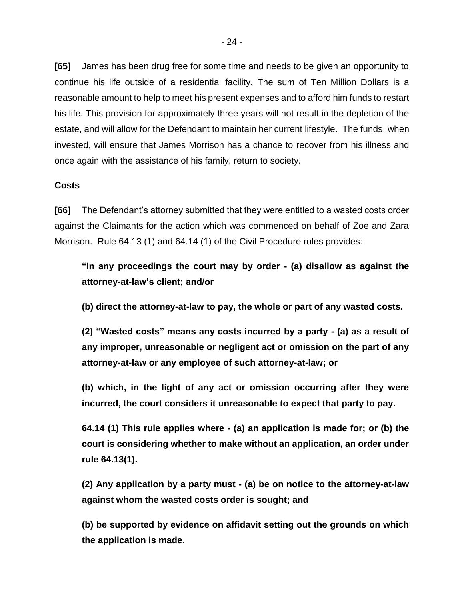**[65]** James has been drug free for some time and needs to be given an opportunity to continue his life outside of a residential facility. The sum of Ten Million Dollars is a reasonable amount to help to meet his present expenses and to afford him funds to restart his life. This provision for approximately three years will not result in the depletion of the estate, and will allow for the Defendant to maintain her current lifestyle. The funds, when invested, will ensure that James Morrison has a chance to recover from his illness and once again with the assistance of his family, return to society.

#### **Costs**

**[66]** The Defendant's attorney submitted that they were entitled to a wasted costs order against the Claimants for the action which was commenced on behalf of Zoe and Zara Morrison. Rule 64.13 (1) and 64.14 (1) of the Civil Procedure rules provides:

**"In any proceedings the court may by order - (a) disallow as against the attorney-at-law's client; and/or**

**(b) direct the attorney-at-law to pay, the whole or part of any wasted costs.**

**(2) "Wasted costs" means any costs incurred by a party - (a) as a result of any improper, unreasonable or negligent act or omission on the part of any attorney-at-law or any employee of such attorney-at-law; or** 

**(b) which, in the light of any act or omission occurring after they were incurred, the court considers it unreasonable to expect that party to pay.** 

**64.14 (1) This rule applies where - (a) an application is made for; or (b) the court is considering whether to make without an application, an order under rule 64.13(1).** 

**(2) Any application by a party must - (a) be on notice to the attorney-at-law against whom the wasted costs order is sought; and** 

**(b) be supported by evidence on affidavit setting out the grounds on which the application is made.**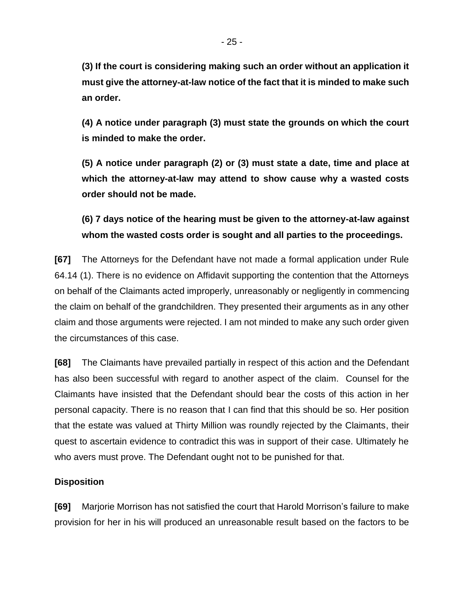**(3) If the court is considering making such an order without an application it must give the attorney-at-law notice of the fact that it is minded to make such an order.** 

**(4) A notice under paragraph (3) must state the grounds on which the court is minded to make the order.** 

**(5) A notice under paragraph (2) or (3) must state a date, time and place at which the attorney-at-law may attend to show cause why a wasted costs order should not be made.** 

**(6) 7 days notice of the hearing must be given to the attorney-at-law against whom the wasted costs order is sought and all parties to the proceedings.**

**[67]** The Attorneys for the Defendant have not made a formal application under Rule 64.14 (1). There is no evidence on Affidavit supporting the contention that the Attorneys on behalf of the Claimants acted improperly, unreasonably or negligently in commencing the claim on behalf of the grandchildren. They presented their arguments as in any other claim and those arguments were rejected. I am not minded to make any such order given the circumstances of this case.

**[68]** The Claimants have prevailed partially in respect of this action and the Defendant has also been successful with regard to another aspect of the claim. Counsel for the Claimants have insisted that the Defendant should bear the costs of this action in her personal capacity. There is no reason that I can find that this should be so. Her position that the estate was valued at Thirty Million was roundly rejected by the Claimants, their quest to ascertain evidence to contradict this was in support of their case. Ultimately he who avers must prove. The Defendant ought not to be punished for that.

# **Disposition**

**[69]** Marjorie Morrison has not satisfied the court that Harold Morrison's failure to make provision for her in his will produced an unreasonable result based on the factors to be